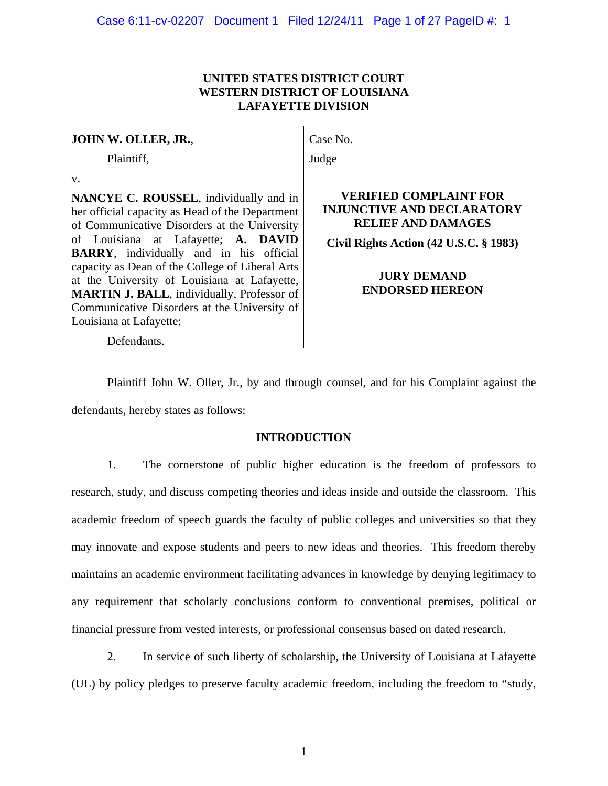## **UNITED STATES DISTRICT COURT WESTERN DISTRICT OF LOUISIANA LAFAYETTE DIVISION**

### **JOHN W. OLLER, JR.**,

Plaintiff,

v.

**NANCYE C. ROUSSEL**, individually and in her official capacity as Head of the Department of Communicative Disorders at the University of Louisiana at Lafayette; **A. DAVID BARRY**, individually and in his official capacity as Dean of the College of Liberal Arts at the University of Louisiana at Lafayette, **MARTIN J. BALL**, individually, Professor of Communicative Disorders at the University of Louisiana at Lafayette;

Case No.

Judge

## **VERIFIED COMPLAINT FOR INJUNCTIVE AND DECLARATORY RELIEF AND DAMAGES**

**Civil Rights Action (42 U.S.C. § 1983)** 

## **JURY DEMAND ENDORSED HEREON**

Defendants.

Plaintiff John W. Oller, Jr., by and through counsel, and for his Complaint against the defendants, hereby states as follows:

## **INTRODUCTION**

1. The cornerstone of public higher education is the freedom of professors to research, study, and discuss competing theories and ideas inside and outside the classroom. This academic freedom of speech guards the faculty of public colleges and universities so that they may innovate and expose students and peers to new ideas and theories. This freedom thereby maintains an academic environment facilitating advances in knowledge by denying legitimacy to any requirement that scholarly conclusions conform to conventional premises, political or financial pressure from vested interests, or professional consensus based on dated research.

2. In service of such liberty of scholarship, the University of Louisiana at Lafayette (UL) by policy pledges to preserve faculty academic freedom, including the freedom to "study,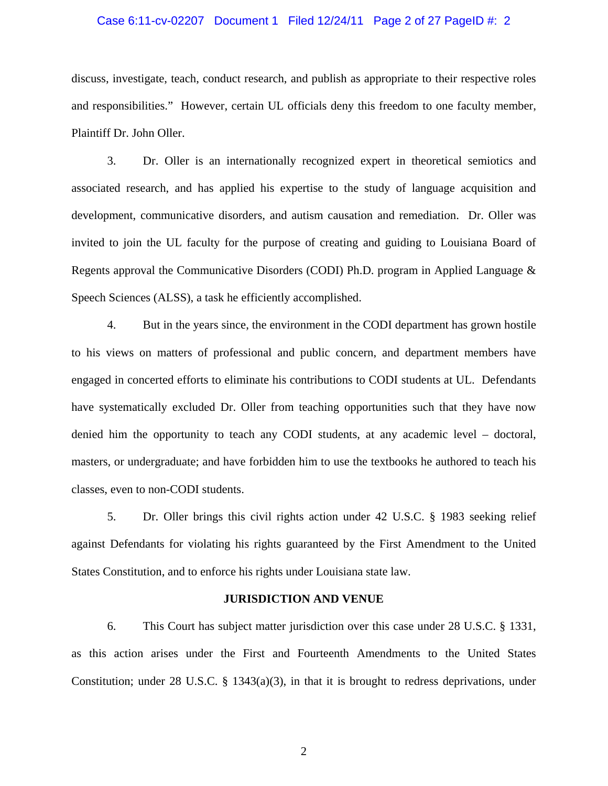### Case 6:11-cv-02207 Document 1 Filed 12/24/11 Page 2 of 27 PageID #: 2

discuss, investigate, teach, conduct research, and publish as appropriate to their respective roles and responsibilities." However, certain UL officials deny this freedom to one faculty member, Plaintiff Dr. John Oller.

3. Dr. Oller is an internationally recognized expert in theoretical semiotics and associated research, and has applied his expertise to the study of language acquisition and development, communicative disorders, and autism causation and remediation. Dr. Oller was invited to join the UL faculty for the purpose of creating and guiding to Louisiana Board of Regents approval the Communicative Disorders (CODI) Ph.D. program in Applied Language & Speech Sciences (ALSS), a task he efficiently accomplished.

4. But in the years since, the environment in the CODI department has grown hostile to his views on matters of professional and public concern, and department members have engaged in concerted efforts to eliminate his contributions to CODI students at UL. Defendants have systematically excluded Dr. Oller from teaching opportunities such that they have now denied him the opportunity to teach any CODI students, at any academic level – doctoral, masters, or undergraduate; and have forbidden him to use the textbooks he authored to teach his classes, even to non-CODI students.

5. Dr. Oller brings this civil rights action under 42 U.S.C. § 1983 seeking relief against Defendants for violating his rights guaranteed by the First Amendment to the United States Constitution, and to enforce his rights under Louisiana state law.

#### **JURISDICTION AND VENUE**

6. This Court has subject matter jurisdiction over this case under 28 U.S.C. § 1331, as this action arises under the First and Fourteenth Amendments to the United States Constitution; under 28 U.S.C. § 1343(a)(3), in that it is brought to redress deprivations, under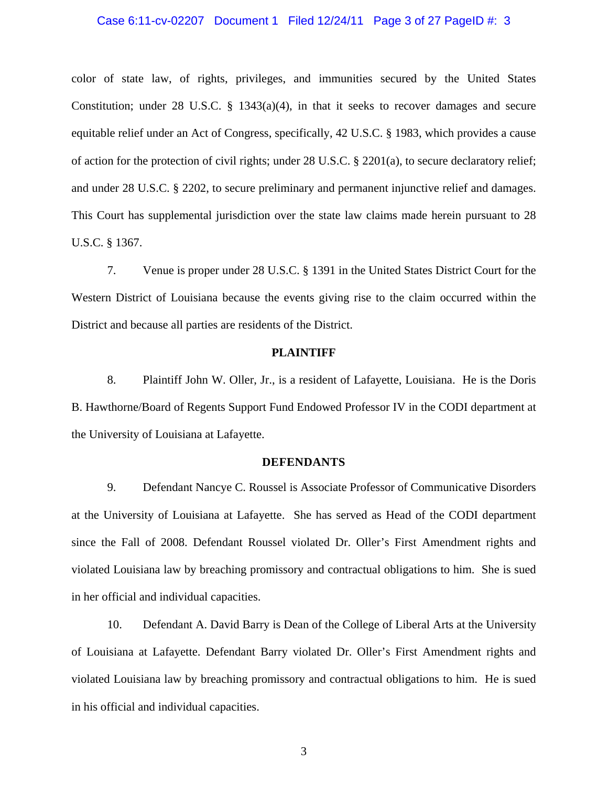### Case 6:11-cv-02207 Document 1 Filed 12/24/11 Page 3 of 27 PageID #: 3

color of state law, of rights, privileges, and immunities secured by the United States Constitution; under 28 U.S.C. § 1343(a)(4), in that it seeks to recover damages and secure equitable relief under an Act of Congress, specifically, 42 U.S.C. § 1983, which provides a cause of action for the protection of civil rights; under 28 U.S.C. § 2201(a), to secure declaratory relief; and under 28 U.S.C. § 2202, to secure preliminary and permanent injunctive relief and damages. This Court has supplemental jurisdiction over the state law claims made herein pursuant to 28 U.S.C. § 1367.

7. Venue is proper under 28 U.S.C. § 1391 in the United States District Court for the Western District of Louisiana because the events giving rise to the claim occurred within the District and because all parties are residents of the District.

### **PLAINTIFF**

8. Plaintiff John W. Oller, Jr., is a resident of Lafayette, Louisiana. He is the Doris B. Hawthorne/Board of Regents Support Fund Endowed Professor IV in the CODI department at the University of Louisiana at Lafayette.

#### **DEFENDANTS**

9. Defendant Nancye C. Roussel is Associate Professor of Communicative Disorders at the University of Louisiana at Lafayette. She has served as Head of the CODI department since the Fall of 2008. Defendant Roussel violated Dr. Oller's First Amendment rights and violated Louisiana law by breaching promissory and contractual obligations to him. She is sued in her official and individual capacities.

10. Defendant A. David Barry is Dean of the College of Liberal Arts at the University of Louisiana at Lafayette. Defendant Barry violated Dr. Oller's First Amendment rights and violated Louisiana law by breaching promissory and contractual obligations to him. He is sued in his official and individual capacities.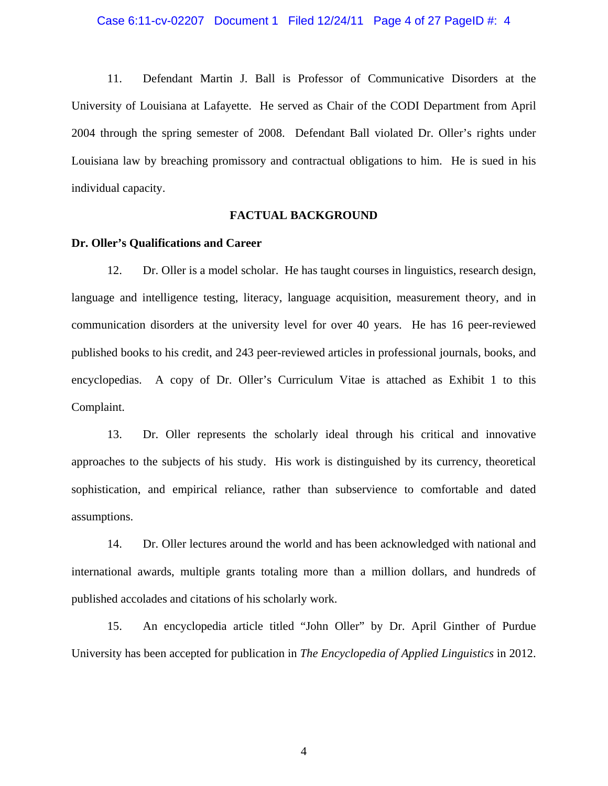11. Defendant Martin J. Ball is Professor of Communicative Disorders at the University of Louisiana at Lafayette. He served as Chair of the CODI Department from April 2004 through the spring semester of 2008. Defendant Ball violated Dr. Oller's rights under Louisiana law by breaching promissory and contractual obligations to him. He is sued in his individual capacity.

### **FACTUAL BACKGROUND**

### **Dr. Oller's Qualifications and Career**

12. Dr. Oller is a model scholar. He has taught courses in linguistics, research design, language and intelligence testing, literacy, language acquisition, measurement theory, and in communication disorders at the university level for over 40 years. He has 16 peer-reviewed published books to his credit, and 243 peer-reviewed articles in professional journals, books, and encyclopedias. A copy of Dr. Oller's Curriculum Vitae is attached as Exhibit 1 to this Complaint.

13. Dr. Oller represents the scholarly ideal through his critical and innovative approaches to the subjects of his study. His work is distinguished by its currency, theoretical sophistication, and empirical reliance, rather than subservience to comfortable and dated assumptions.

14. Dr. Oller lectures around the world and has been acknowledged with national and international awards, multiple grants totaling more than a million dollars, and hundreds of published accolades and citations of his scholarly work.

15. An encyclopedia article titled "John Oller" by Dr. April Ginther of Purdue University has been accepted for publication in *The Encyclopedia of Applied Linguistics* in 2012.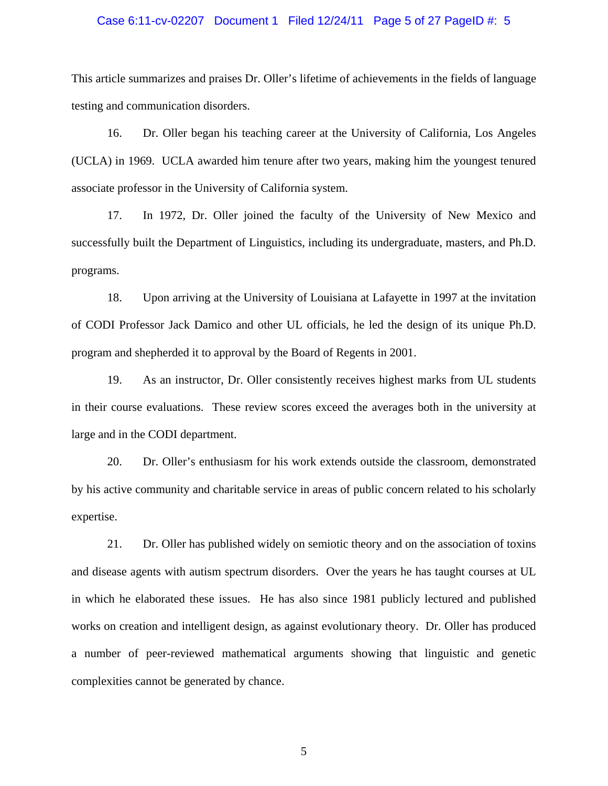### Case 6:11-cv-02207 Document 1 Filed 12/24/11 Page 5 of 27 PageID #: 5

This article summarizes and praises Dr. Oller's lifetime of achievements in the fields of language testing and communication disorders.

16. Dr. Oller began his teaching career at the University of California, Los Angeles (UCLA) in 1969. UCLA awarded him tenure after two years, making him the youngest tenured associate professor in the University of California system.

17. In 1972, Dr. Oller joined the faculty of the University of New Mexico and successfully built the Department of Linguistics, including its undergraduate, masters, and Ph.D. programs.

18. Upon arriving at the University of Louisiana at Lafayette in 1997 at the invitation of CODI Professor Jack Damico and other UL officials, he led the design of its unique Ph.D. program and shepherded it to approval by the Board of Regents in 2001.

19. As an instructor, Dr. Oller consistently receives highest marks from UL students in their course evaluations. These review scores exceed the averages both in the university at large and in the CODI department.

20. Dr. Oller's enthusiasm for his work extends outside the classroom, demonstrated by his active community and charitable service in areas of public concern related to his scholarly expertise.

21. Dr. Oller has published widely on semiotic theory and on the association of toxins and disease agents with autism spectrum disorders. Over the years he has taught courses at UL in which he elaborated these issues. He has also since 1981 publicly lectured and published works on creation and intelligent design, as against evolutionary theory. Dr. Oller has produced a number of peer-reviewed mathematical arguments showing that linguistic and genetic complexities cannot be generated by chance.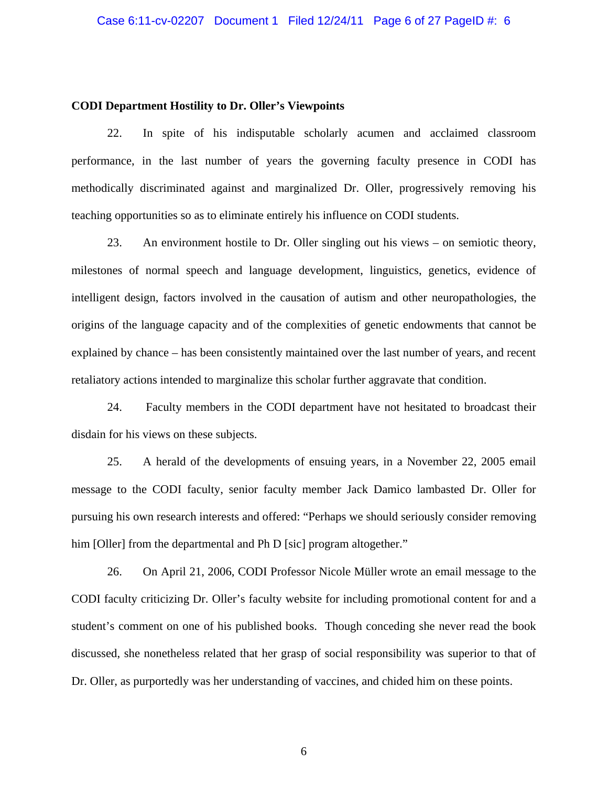### **CODI Department Hostility to Dr. Oller's Viewpoints**

22. In spite of his indisputable scholarly acumen and acclaimed classroom performance, in the last number of years the governing faculty presence in CODI has methodically discriminated against and marginalized Dr. Oller, progressively removing his teaching opportunities so as to eliminate entirely his influence on CODI students.

23. An environment hostile to Dr. Oller singling out his views – on semiotic theory, milestones of normal speech and language development, linguistics, genetics, evidence of intelligent design, factors involved in the causation of autism and other neuropathologies, the origins of the language capacity and of the complexities of genetic endowments that cannot be explained by chance – has been consistently maintained over the last number of years, and recent retaliatory actions intended to marginalize this scholar further aggravate that condition.

24. Faculty members in the CODI department have not hesitated to broadcast their disdain for his views on these subjects.

25. A herald of the developments of ensuing years, in a November 22, 2005 email message to the CODI faculty, senior faculty member Jack Damico lambasted Dr. Oller for pursuing his own research interests and offered: "Perhaps we should seriously consider removing him [Oller] from the departmental and Ph D [sic] program altogether."

26. On April 21, 2006, CODI Professor Nicole Müller wrote an email message to the CODI faculty criticizing Dr. Oller's faculty website for including promotional content for and a student's comment on one of his published books. Though conceding she never read the book discussed, she nonetheless related that her grasp of social responsibility was superior to that of Dr. Oller, as purportedly was her understanding of vaccines, and chided him on these points.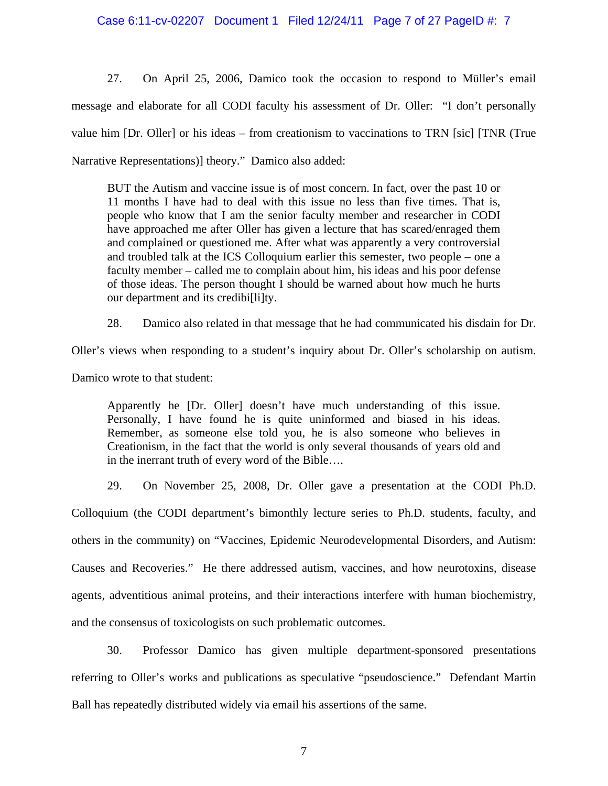27. On April 25, 2006, Damico took the occasion to respond to Müller's email message and elaborate for all CODI faculty his assessment of Dr. Oller: "I don't personally value him [Dr. Oller] or his ideas – from creationism to vaccinations to TRN [sic] [TNR (True Narrative Representations)] theory." Damico also added:

BUT the Autism and vaccine issue is of most concern. In fact, over the past 10 or 11 months I have had to deal with this issue no less than five times. That is, people who know that I am the senior faculty member and researcher in CODI have approached me after Oller has given a lecture that has scared/enraged them and complained or questioned me. After what was apparently a very controversial and troubled talk at the ICS Colloquium earlier this semester, two people – one a faculty member – called me to complain about him, his ideas and his poor defense of those ideas. The person thought I should be warned about how much he hurts our department and its credibi[li]ty.

28. Damico also related in that message that he had communicated his disdain for Dr.

Oller's views when responding to a student's inquiry about Dr. Oller's scholarship on autism.

Damico wrote to that student:

Apparently he [Dr. Oller] doesn't have much understanding of this issue. Personally, I have found he is quite uninformed and biased in his ideas. Remember, as someone else told you, he is also someone who believes in Creationism, in the fact that the world is only several thousands of years old and in the inerrant truth of every word of the Bible….

29. On November 25, 2008, Dr. Oller gave a presentation at the CODI Ph.D.

Colloquium (the CODI department's bimonthly lecture series to Ph.D. students, faculty, and others in the community) on "Vaccines, Epidemic Neurodevelopmental Disorders, and Autism: Causes and Recoveries." He there addressed autism, vaccines, and how neurotoxins, disease agents, adventitious animal proteins, and their interactions interfere with human biochemistry, and the consensus of toxicologists on such problematic outcomes.

30. Professor Damico has given multiple department-sponsored presentations referring to Oller's works and publications as speculative "pseudoscience." Defendant Martin Ball has repeatedly distributed widely via email his assertions of the same.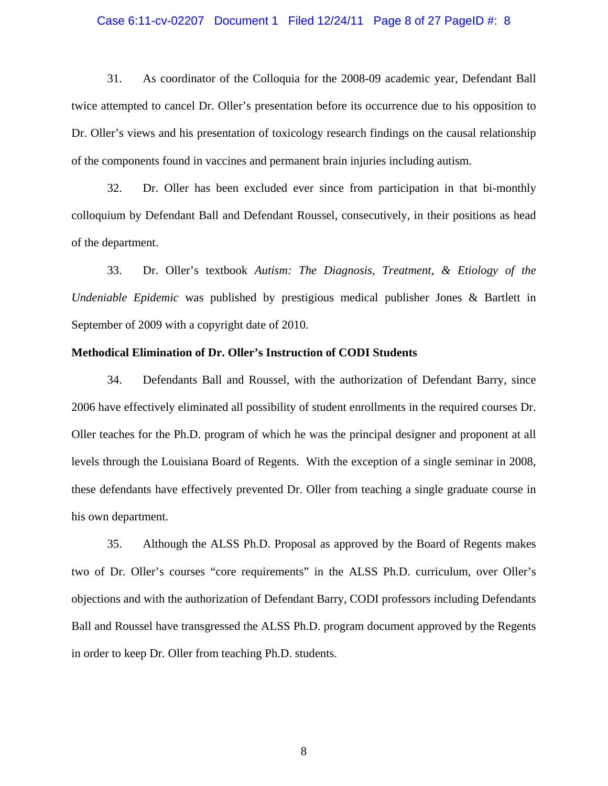### Case 6:11-cv-02207 Document 1 Filed 12/24/11 Page 8 of 27 PageID #: 8

31. As coordinator of the Colloquia for the 2008-09 academic year, Defendant Ball twice attempted to cancel Dr. Oller's presentation before its occurrence due to his opposition to Dr. Oller's views and his presentation of toxicology research findings on the causal relationship of the components found in vaccines and permanent brain injuries including autism.

32. Dr. Oller has been excluded ever since from participation in that bi-monthly colloquium by Defendant Ball and Defendant Roussel, consecutively, in their positions as head of the department.

33. Dr. Oller's textbook *Autism: The Diagnosis, Treatment, & Etiology of the Undeniable Epidemic* was published by prestigious medical publisher Jones & Bartlett in September of 2009 with a copyright date of 2010.

### **Methodical Elimination of Dr. Oller's Instruction of CODI Students**

34. Defendants Ball and Roussel, with the authorization of Defendant Barry, since 2006 have effectively eliminated all possibility of student enrollments in the required courses Dr. Oller teaches for the Ph.D. program of which he was the principal designer and proponent at all levels through the Louisiana Board of Regents. With the exception of a single seminar in 2008, these defendants have effectively prevented Dr. Oller from teaching a single graduate course in his own department.

35. Although the ALSS Ph.D. Proposal as approved by the Board of Regents makes two of Dr. Oller's courses "core requirements" in the ALSS Ph.D. curriculum, over Oller's objections and with the authorization of Defendant Barry, CODI professors including Defendants Ball and Roussel have transgressed the ALSS Ph.D. program document approved by the Regents in order to keep Dr. Oller from teaching Ph.D. students.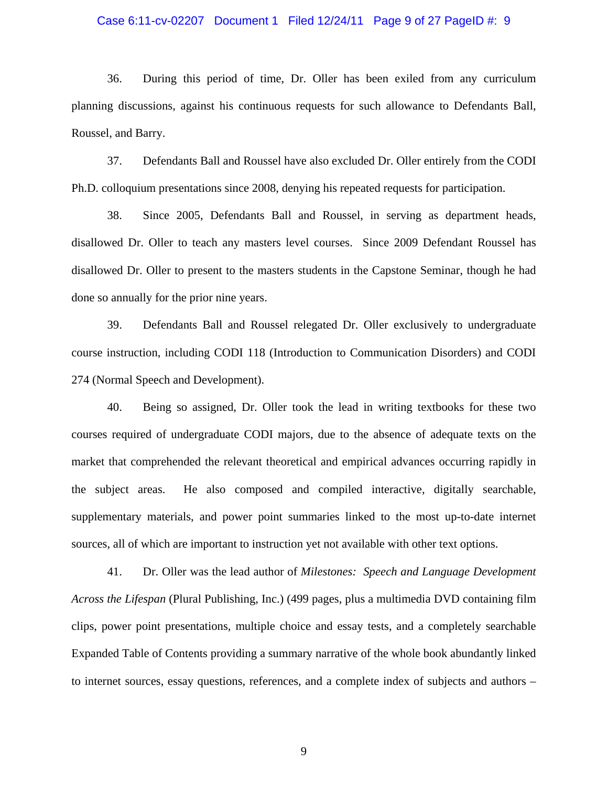### Case 6:11-cv-02207 Document 1 Filed 12/24/11 Page 9 of 27 PageID #: 9

36. During this period of time, Dr. Oller has been exiled from any curriculum planning discussions, against his continuous requests for such allowance to Defendants Ball, Roussel, and Barry.

37. Defendants Ball and Roussel have also excluded Dr. Oller entirely from the CODI Ph.D. colloquium presentations since 2008, denying his repeated requests for participation.

38. Since 2005, Defendants Ball and Roussel, in serving as department heads, disallowed Dr. Oller to teach any masters level courses. Since 2009 Defendant Roussel has disallowed Dr. Oller to present to the masters students in the Capstone Seminar, though he had done so annually for the prior nine years.

39. Defendants Ball and Roussel relegated Dr. Oller exclusively to undergraduate course instruction, including CODI 118 (Introduction to Communication Disorders) and CODI 274 (Normal Speech and Development).

40. Being so assigned, Dr. Oller took the lead in writing textbooks for these two courses required of undergraduate CODI majors, due to the absence of adequate texts on the market that comprehended the relevant theoretical and empirical advances occurring rapidly in the subject areas. He also composed and compiled interactive, digitally searchable, supplementary materials, and power point summaries linked to the most up-to-date internet sources, all of which are important to instruction yet not available with other text options.

41. Dr. Oller was the lead author of *Milestones: Speech and Language Development Across the Lifespan* (Plural Publishing, Inc.) (499 pages, plus a multimedia DVD containing film clips, power point presentations, multiple choice and essay tests, and a completely searchable Expanded Table of Contents providing a summary narrative of the whole book abundantly linked to internet sources, essay questions, references, and a complete index of subjects and authors –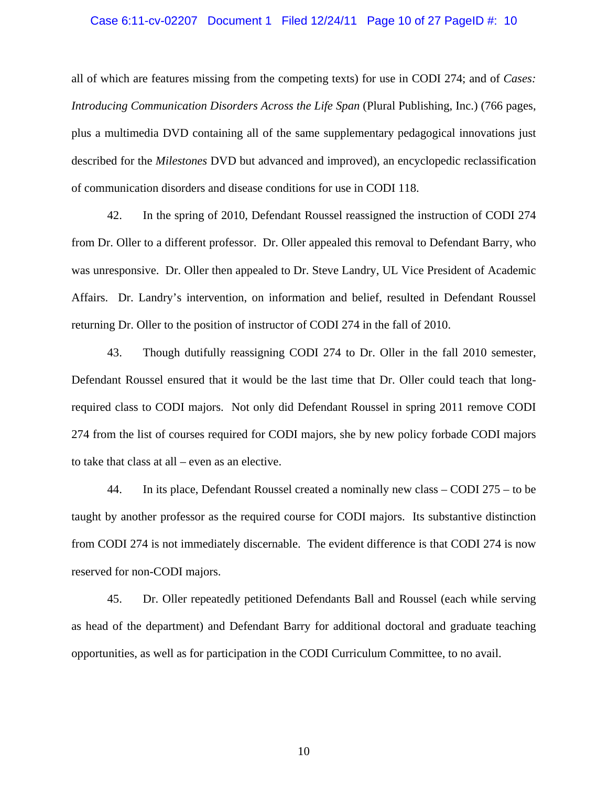### Case 6:11-cv-02207 Document 1 Filed 12/24/11 Page 10 of 27 PageID #: 10

all of which are features missing from the competing texts) for use in CODI 274; and of *Cases: Introducing Communication Disorders Across the Life Span* (Plural Publishing, Inc.) (766 pages, plus a multimedia DVD containing all of the same supplementary pedagogical innovations just described for the *Milestones* DVD but advanced and improved), an encyclopedic reclassification of communication disorders and disease conditions for use in CODI 118.

42. In the spring of 2010, Defendant Roussel reassigned the instruction of CODI 274 from Dr. Oller to a different professor. Dr. Oller appealed this removal to Defendant Barry, who was unresponsive. Dr. Oller then appealed to Dr. Steve Landry, UL Vice President of Academic Affairs. Dr. Landry's intervention, on information and belief, resulted in Defendant Roussel returning Dr. Oller to the position of instructor of CODI 274 in the fall of 2010.

43. Though dutifully reassigning CODI 274 to Dr. Oller in the fall 2010 semester, Defendant Roussel ensured that it would be the last time that Dr. Oller could teach that longrequired class to CODI majors. Not only did Defendant Roussel in spring 2011 remove CODI 274 from the list of courses required for CODI majors, she by new policy forbade CODI majors to take that class at all – even as an elective.

44. In its place, Defendant Roussel created a nominally new class – CODI 275 – to be taught by another professor as the required course for CODI majors. Its substantive distinction from CODI 274 is not immediately discernable. The evident difference is that CODI 274 is now reserved for non-CODI majors.

45. Dr. Oller repeatedly petitioned Defendants Ball and Roussel (each while serving as head of the department) and Defendant Barry for additional doctoral and graduate teaching opportunities, as well as for participation in the CODI Curriculum Committee, to no avail.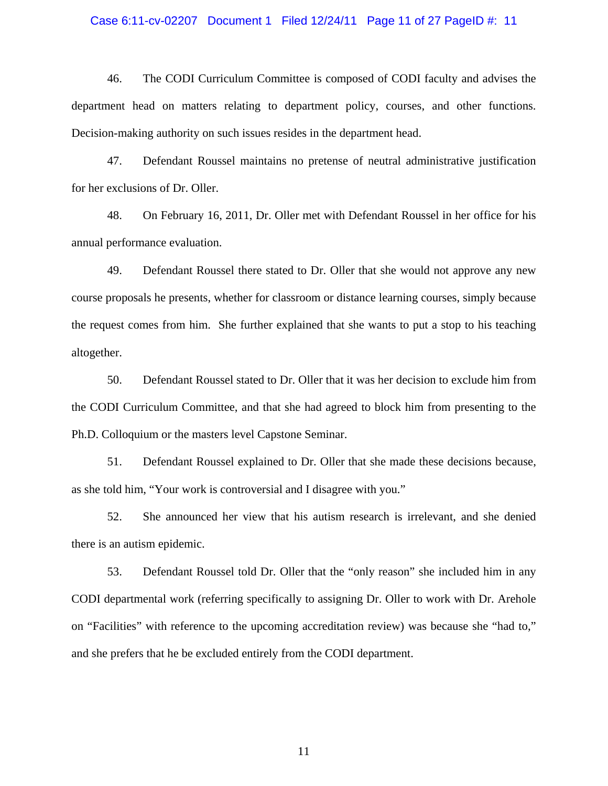### Case 6:11-cv-02207 Document 1 Filed 12/24/11 Page 11 of 27 PageID #: 11

46. The CODI Curriculum Committee is composed of CODI faculty and advises the department head on matters relating to department policy, courses, and other functions. Decision-making authority on such issues resides in the department head.

47. Defendant Roussel maintains no pretense of neutral administrative justification for her exclusions of Dr. Oller.

48. On February 16, 2011, Dr. Oller met with Defendant Roussel in her office for his annual performance evaluation.

49. Defendant Roussel there stated to Dr. Oller that she would not approve any new course proposals he presents, whether for classroom or distance learning courses, simply because the request comes from him. She further explained that she wants to put a stop to his teaching altogether.

50. Defendant Roussel stated to Dr. Oller that it was her decision to exclude him from the CODI Curriculum Committee, and that she had agreed to block him from presenting to the Ph.D. Colloquium or the masters level Capstone Seminar.

51. Defendant Roussel explained to Dr. Oller that she made these decisions because, as she told him, "Your work is controversial and I disagree with you."

52. She announced her view that his autism research is irrelevant, and she denied there is an autism epidemic.

53. Defendant Roussel told Dr. Oller that the "only reason" she included him in any CODI departmental work (referring specifically to assigning Dr. Oller to work with Dr. Arehole on "Facilities" with reference to the upcoming accreditation review) was because she "had to," and she prefers that he be excluded entirely from the CODI department.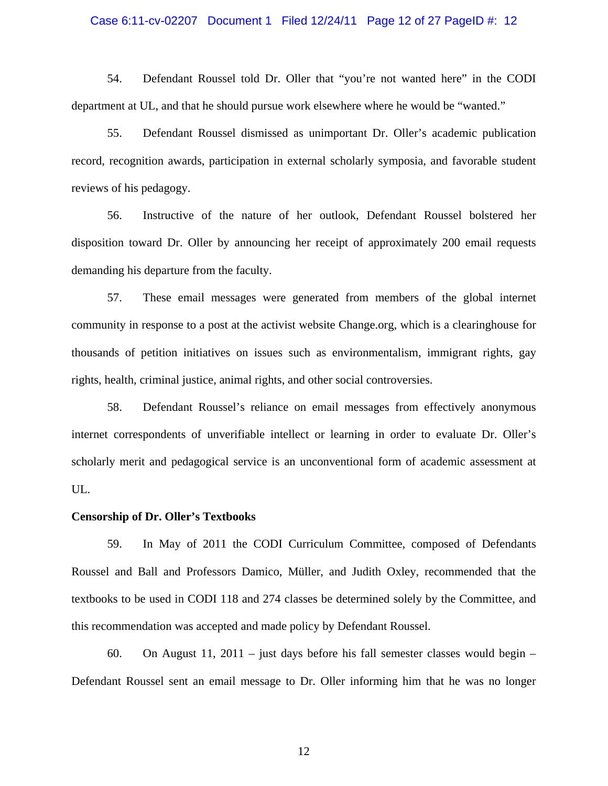### Case 6:11-cv-02207 Document 1 Filed 12/24/11 Page 12 of 27 PageID #: 12

54. Defendant Roussel told Dr. Oller that "you're not wanted here" in the CODI department at UL, and that he should pursue work elsewhere where he would be "wanted."

55. Defendant Roussel dismissed as unimportant Dr. Oller's academic publication record, recognition awards, participation in external scholarly symposia, and favorable student reviews of his pedagogy.

56. Instructive of the nature of her outlook, Defendant Roussel bolstered her disposition toward Dr. Oller by announcing her receipt of approximately 200 email requests demanding his departure from the faculty.

57. These email messages were generated from members of the global internet community in response to a post at the activist website Change.org, which is a clearinghouse for thousands of petition initiatives on issues such as environmentalism, immigrant rights, gay rights, health, criminal justice, animal rights, and other social controversies.

58. Defendant Roussel's reliance on email messages from effectively anonymous internet correspondents of unverifiable intellect or learning in order to evaluate Dr. Oller's scholarly merit and pedagogical service is an unconventional form of academic assessment at UL.

### **Censorship of Dr. Oller's Textbooks**

59. In May of 2011 the CODI Curriculum Committee, composed of Defendants Roussel and Ball and Professors Damico, Müller, and Judith Oxley, recommended that the textbooks to be used in CODI 118 and 274 classes be determined solely by the Committee, and this recommendation was accepted and made policy by Defendant Roussel.

60. On August 11, 2011 – just days before his fall semester classes would begin – Defendant Roussel sent an email message to Dr. Oller informing him that he was no longer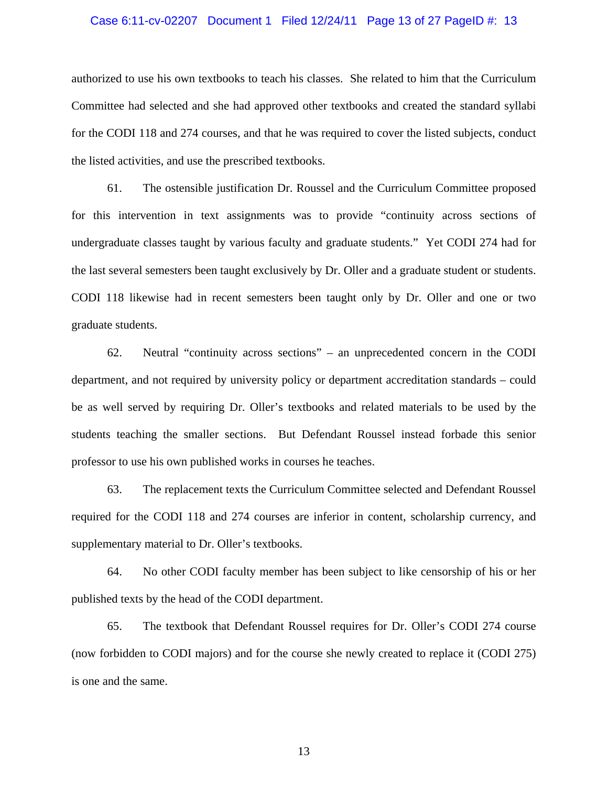### Case 6:11-cv-02207 Document 1 Filed 12/24/11 Page 13 of 27 PageID #: 13

authorized to use his own textbooks to teach his classes. She related to him that the Curriculum Committee had selected and she had approved other textbooks and created the standard syllabi for the CODI 118 and 274 courses, and that he was required to cover the listed subjects, conduct the listed activities, and use the prescribed textbooks.

61. The ostensible justification Dr. Roussel and the Curriculum Committee proposed for this intervention in text assignments was to provide "continuity across sections of undergraduate classes taught by various faculty and graduate students." Yet CODI 274 had for the last several semesters been taught exclusively by Dr. Oller and a graduate student or students. CODI 118 likewise had in recent semesters been taught only by Dr. Oller and one or two graduate students.

62. Neutral "continuity across sections" – an unprecedented concern in the CODI department, and not required by university policy or department accreditation standards – could be as well served by requiring Dr. Oller's textbooks and related materials to be used by the students teaching the smaller sections. But Defendant Roussel instead forbade this senior professor to use his own published works in courses he teaches.

63. The replacement texts the Curriculum Committee selected and Defendant Roussel required for the CODI 118 and 274 courses are inferior in content, scholarship currency, and supplementary material to Dr. Oller's textbooks.

64. No other CODI faculty member has been subject to like censorship of his or her published texts by the head of the CODI department.

65. The textbook that Defendant Roussel requires for Dr. Oller's CODI 274 course (now forbidden to CODI majors) and for the course she newly created to replace it (CODI 275) is one and the same.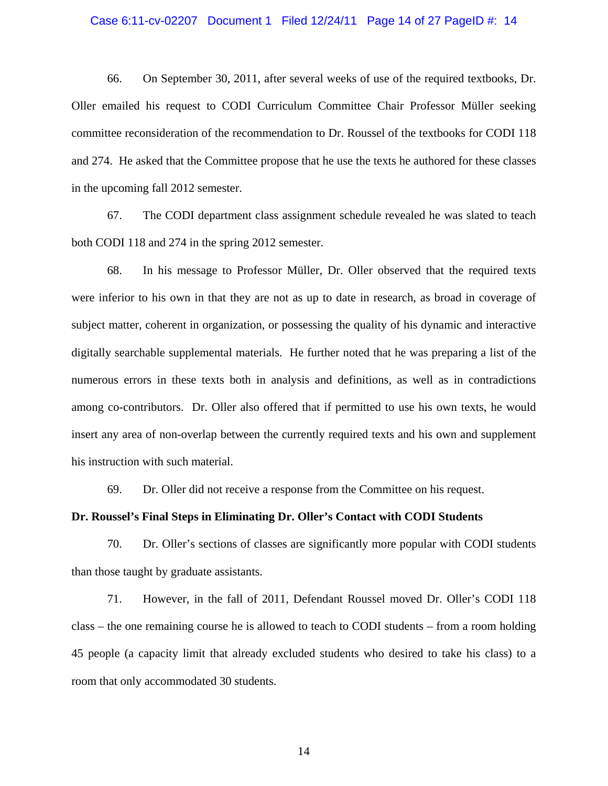### Case 6:11-cv-02207 Document 1 Filed 12/24/11 Page 14 of 27 PageID #: 14

66. On September 30, 2011, after several weeks of use of the required textbooks, Dr. Oller emailed his request to CODI Curriculum Committee Chair Professor Müller seeking committee reconsideration of the recommendation to Dr. Roussel of the textbooks for CODI 118 and 274. He asked that the Committee propose that he use the texts he authored for these classes in the upcoming fall 2012 semester.

67. The CODI department class assignment schedule revealed he was slated to teach both CODI 118 and 274 in the spring 2012 semester.

68. In his message to Professor Müller, Dr. Oller observed that the required texts were inferior to his own in that they are not as up to date in research, as broad in coverage of subject matter, coherent in organization, or possessing the quality of his dynamic and interactive digitally searchable supplemental materials. He further noted that he was preparing a list of the numerous errors in these texts both in analysis and definitions, as well as in contradictions among co-contributors. Dr. Oller also offered that if permitted to use his own texts, he would insert any area of non-overlap between the currently required texts and his own and supplement his instruction with such material.

69. Dr. Oller did not receive a response from the Committee on his request.

### **Dr. Roussel's Final Steps in Eliminating Dr. Oller's Contact with CODI Students**

70. Dr. Oller's sections of classes are significantly more popular with CODI students than those taught by graduate assistants.

71. However, in the fall of 2011, Defendant Roussel moved Dr. Oller's CODI 118 class – the one remaining course he is allowed to teach to CODI students – from a room holding 45 people (a capacity limit that already excluded students who desired to take his class) to a room that only accommodated 30 students.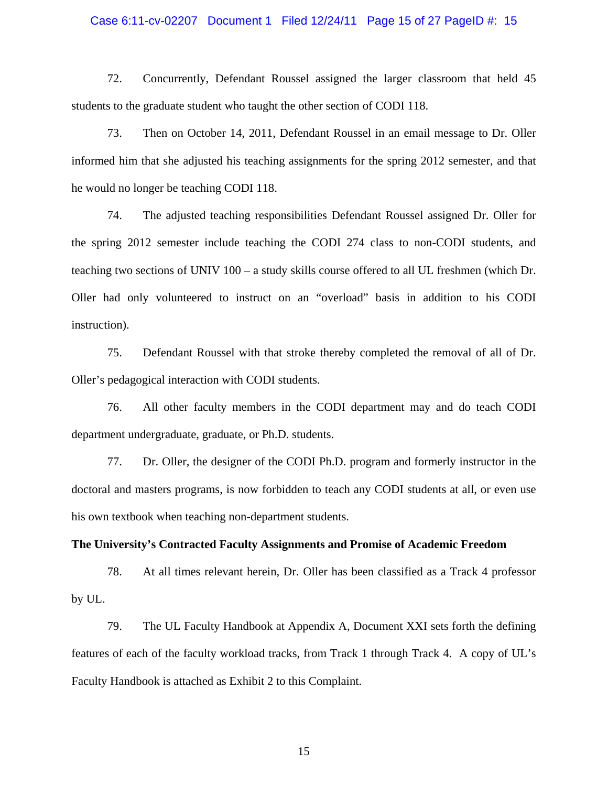### Case 6:11-cv-02207 Document 1 Filed 12/24/11 Page 15 of 27 PageID #: 15

72. Concurrently, Defendant Roussel assigned the larger classroom that held 45 students to the graduate student who taught the other section of CODI 118.

73. Then on October 14, 2011, Defendant Roussel in an email message to Dr. Oller informed him that she adjusted his teaching assignments for the spring 2012 semester, and that he would no longer be teaching CODI 118.

74. The adjusted teaching responsibilities Defendant Roussel assigned Dr. Oller for the spring 2012 semester include teaching the CODI 274 class to non-CODI students, and teaching two sections of UNIV 100 – a study skills course offered to all UL freshmen (which Dr. Oller had only volunteered to instruct on an "overload" basis in addition to his CODI instruction).

75. Defendant Roussel with that stroke thereby completed the removal of all of Dr. Oller's pedagogical interaction with CODI students.

76. All other faculty members in the CODI department may and do teach CODI department undergraduate, graduate, or Ph.D. students.

77. Dr. Oller, the designer of the CODI Ph.D. program and formerly instructor in the doctoral and masters programs, is now forbidden to teach any CODI students at all, or even use his own textbook when teaching non-department students.

### **The University's Contracted Faculty Assignments and Promise of Academic Freedom**

78. At all times relevant herein, Dr. Oller has been classified as a Track 4 professor by UL.

79. The UL Faculty Handbook at Appendix A, Document XXI sets forth the defining features of each of the faculty workload tracks, from Track 1 through Track 4. A copy of UL's Faculty Handbook is attached as Exhibit 2 to this Complaint.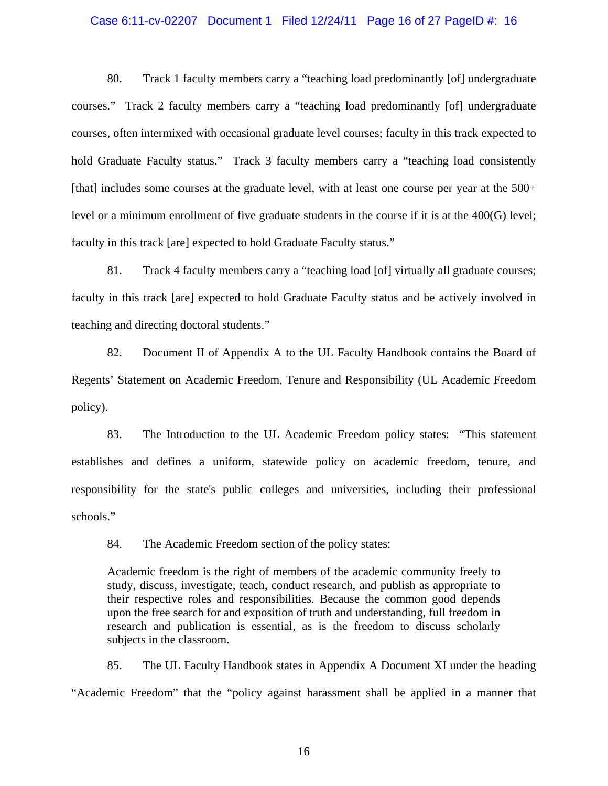### Case 6:11-cv-02207 Document 1 Filed 12/24/11 Page 16 of 27 PageID #: 16

80. Track 1 faculty members carry a "teaching load predominantly [of] undergraduate courses." Track 2 faculty members carry a "teaching load predominantly [of] undergraduate courses, often intermixed with occasional graduate level courses; faculty in this track expected to hold Graduate Faculty status." Track 3 faculty members carry a "teaching load consistently [that] includes some courses at the graduate level, with at least one course per year at the 500+ level or a minimum enrollment of five graduate students in the course if it is at the 400(G) level; faculty in this track [are] expected to hold Graduate Faculty status."

81. Track 4 faculty members carry a "teaching load [of] virtually all graduate courses; faculty in this track [are] expected to hold Graduate Faculty status and be actively involved in teaching and directing doctoral students."

82. Document II of Appendix A to the UL Faculty Handbook contains the Board of Regents' Statement on Academic Freedom, Tenure and Responsibility (UL Academic Freedom policy).

83. The Introduction to the UL Academic Freedom policy states: "This statement establishes and defines a uniform, statewide policy on academic freedom, tenure, and responsibility for the state's public colleges and universities, including their professional schools."

84. The Academic Freedom section of the policy states:

Academic freedom is the right of members of the academic community freely to study, discuss, investigate, teach, conduct research, and publish as appropriate to their respective roles and responsibilities. Because the common good depends upon the free search for and exposition of truth and understanding, full freedom in research and publication is essential, as is the freedom to discuss scholarly subjects in the classroom.

85. The UL Faculty Handbook states in Appendix A Document XI under the heading "Academic Freedom" that the "policy against harassment shall be applied in a manner that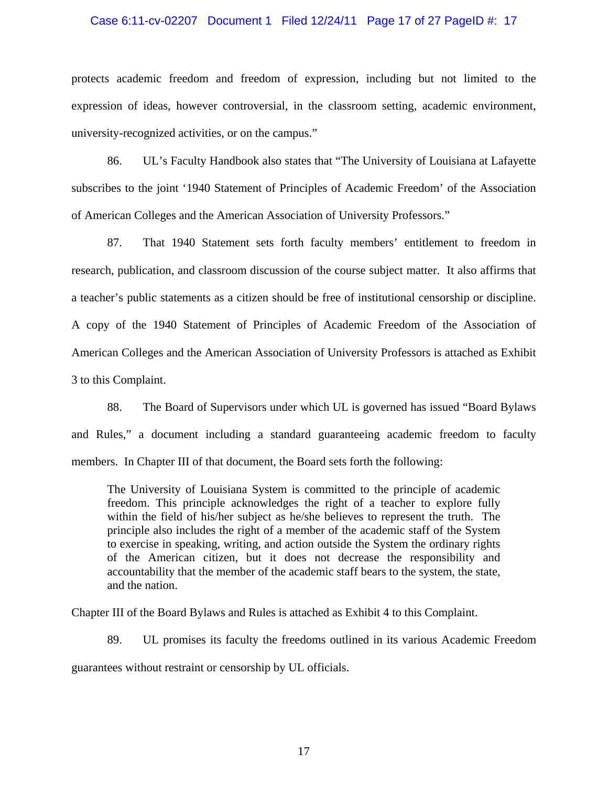### Case 6:11-cv-02207 Document 1 Filed 12/24/11 Page 17 of 27 PageID #: 17

protects academic freedom and freedom of expression, including but not limited to the expression of ideas, however controversial, in the classroom setting, academic environment, university-recognized activities, or on the campus."

86. UL's Faculty Handbook also states that "The University of Louisiana at Lafayette subscribes to the joint '1940 Statement of Principles of Academic Freedom' of the Association of American Colleges and the American Association of University Professors."

87. That 1940 Statement sets forth faculty members' entitlement to freedom in research, publication, and classroom discussion of the course subject matter. It also affirms that a teacher's public statements as a citizen should be free of institutional censorship or discipline. A copy of the 1940 Statement of Principles of Academic Freedom of the Association of American Colleges and the American Association of University Professors is attached as Exhibit 3 to this Complaint.

88. The Board of Supervisors under which UL is governed has issued "Board Bylaws and Rules," a document including a standard guaranteeing academic freedom to faculty members. In Chapter III of that document, the Board sets forth the following:

The University of Louisiana System is committed to the principle of academic freedom. This principle acknowledges the right of a teacher to explore fully within the field of his/her subject as he/she believes to represent the truth. The principle also includes the right of a member of the academic staff of the System to exercise in speaking, writing, and action outside the System the ordinary rights of the American citizen, but it does not decrease the responsibility and accountability that the member of the academic staff bears to the system, the state, and the nation.

Chapter III of the Board Bylaws and Rules is attached as Exhibit 4 to this Complaint.

89. UL promises its faculty the freedoms outlined in its various Academic Freedom guarantees without restraint or censorship by UL officials.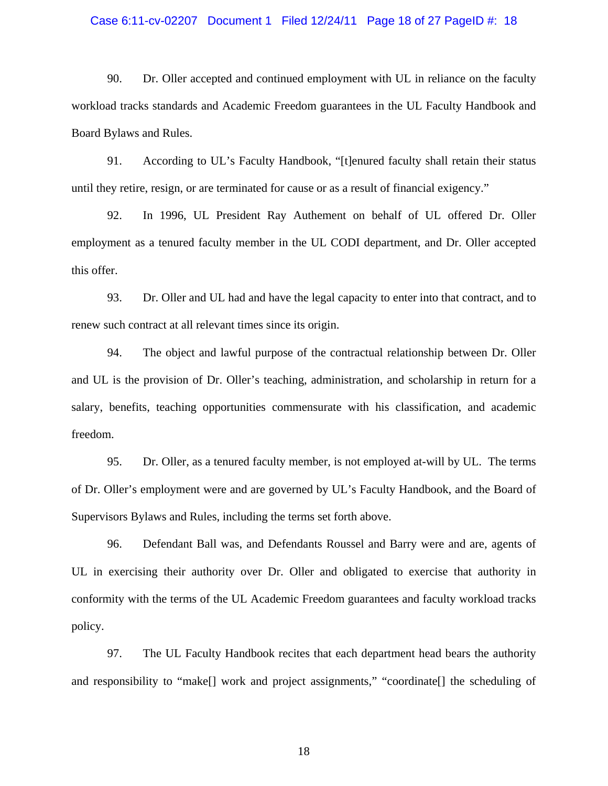### Case 6:11-cv-02207 Document 1 Filed 12/24/11 Page 18 of 27 PageID #: 18

90. Dr. Oller accepted and continued employment with UL in reliance on the faculty workload tracks standards and Academic Freedom guarantees in the UL Faculty Handbook and Board Bylaws and Rules.

91. According to UL's Faculty Handbook, "[t]enured faculty shall retain their status until they retire, resign, or are terminated for cause or as a result of financial exigency."

92. In 1996, UL President Ray Authement on behalf of UL offered Dr. Oller employment as a tenured faculty member in the UL CODI department, and Dr. Oller accepted this offer.

93. Dr. Oller and UL had and have the legal capacity to enter into that contract, and to renew such contract at all relevant times since its origin.

94. The object and lawful purpose of the contractual relationship between Dr. Oller and UL is the provision of Dr. Oller's teaching, administration, and scholarship in return for a salary, benefits, teaching opportunities commensurate with his classification, and academic freedom.

95. Dr. Oller, as a tenured faculty member, is not employed at-will by UL. The terms of Dr. Oller's employment were and are governed by UL's Faculty Handbook, and the Board of Supervisors Bylaws and Rules, including the terms set forth above.

96. Defendant Ball was, and Defendants Roussel and Barry were and are, agents of UL in exercising their authority over Dr. Oller and obligated to exercise that authority in conformity with the terms of the UL Academic Freedom guarantees and faculty workload tracks policy.

97. The UL Faculty Handbook recites that each department head bears the authority and responsibility to "make[] work and project assignments," "coordinate[] the scheduling of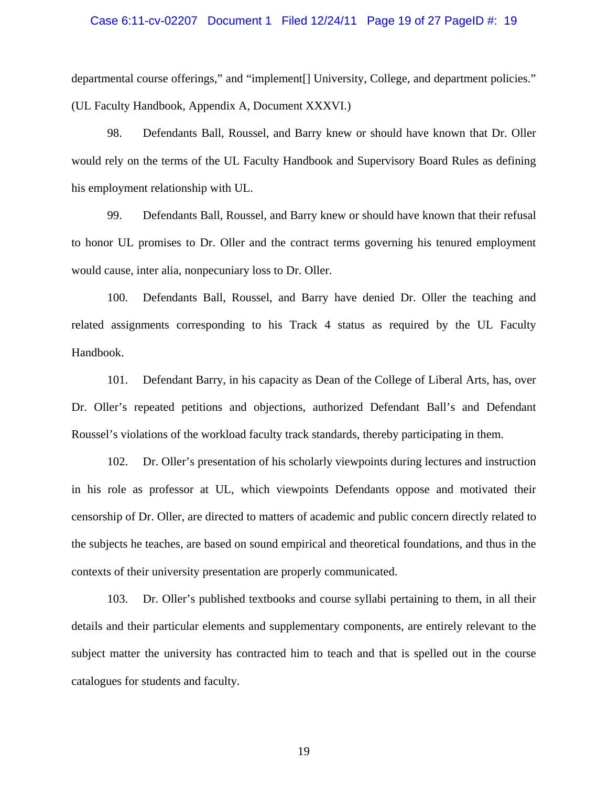### Case 6:11-cv-02207 Document 1 Filed 12/24/11 Page 19 of 27 PageID #: 19

departmental course offerings," and "implement[] University, College, and department policies." (UL Faculty Handbook, Appendix A, Document XXXVI.)

98. Defendants Ball, Roussel, and Barry knew or should have known that Dr. Oller would rely on the terms of the UL Faculty Handbook and Supervisory Board Rules as defining his employment relationship with UL.

99. Defendants Ball, Roussel, and Barry knew or should have known that their refusal to honor UL promises to Dr. Oller and the contract terms governing his tenured employment would cause, inter alia, nonpecuniary loss to Dr. Oller.

100. Defendants Ball, Roussel, and Barry have denied Dr. Oller the teaching and related assignments corresponding to his Track 4 status as required by the UL Faculty Handbook.

101. Defendant Barry, in his capacity as Dean of the College of Liberal Arts, has, over Dr. Oller's repeated petitions and objections, authorized Defendant Ball's and Defendant Roussel's violations of the workload faculty track standards, thereby participating in them.

102. Dr. Oller's presentation of his scholarly viewpoints during lectures and instruction in his role as professor at UL, which viewpoints Defendants oppose and motivated their censorship of Dr. Oller, are directed to matters of academic and public concern directly related to the subjects he teaches, are based on sound empirical and theoretical foundations, and thus in the contexts of their university presentation are properly communicated.

103. Dr. Oller's published textbooks and course syllabi pertaining to them, in all their details and their particular elements and supplementary components, are entirely relevant to the subject matter the university has contracted him to teach and that is spelled out in the course catalogues for students and faculty.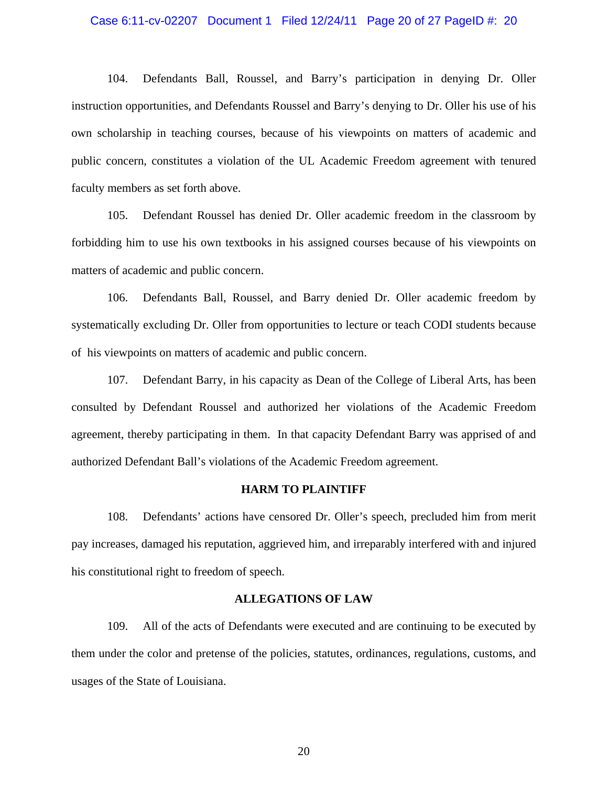### Case 6:11-cv-02207 Document 1 Filed 12/24/11 Page 20 of 27 PageID #: 20

104. Defendants Ball, Roussel, and Barry's participation in denying Dr. Oller instruction opportunities, and Defendants Roussel and Barry's denying to Dr. Oller his use of his own scholarship in teaching courses, because of his viewpoints on matters of academic and public concern, constitutes a violation of the UL Academic Freedom agreement with tenured faculty members as set forth above.

105. Defendant Roussel has denied Dr. Oller academic freedom in the classroom by forbidding him to use his own textbooks in his assigned courses because of his viewpoints on matters of academic and public concern.

106. Defendants Ball, Roussel, and Barry denied Dr. Oller academic freedom by systematically excluding Dr. Oller from opportunities to lecture or teach CODI students because of his viewpoints on matters of academic and public concern.

107. Defendant Barry, in his capacity as Dean of the College of Liberal Arts, has been consulted by Defendant Roussel and authorized her violations of the Academic Freedom agreement, thereby participating in them. In that capacity Defendant Barry was apprised of and authorized Defendant Ball's violations of the Academic Freedom agreement.

#### **HARM TO PLAINTIFF**

108. Defendants' actions have censored Dr. Oller's speech, precluded him from merit pay increases, damaged his reputation, aggrieved him, and irreparably interfered with and injured his constitutional right to freedom of speech.

#### **ALLEGATIONS OF LAW**

109. All of the acts of Defendants were executed and are continuing to be executed by them under the color and pretense of the policies, statutes, ordinances, regulations, customs, and usages of the State of Louisiana.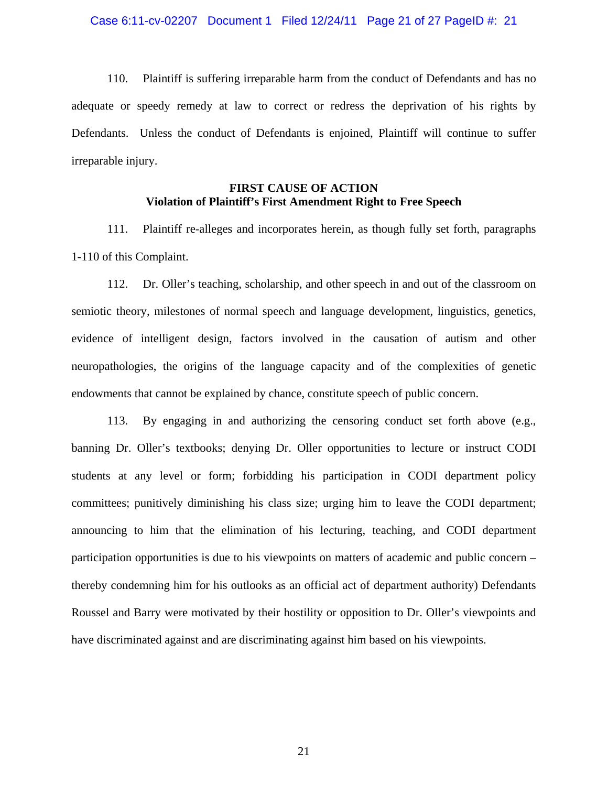110. Plaintiff is suffering irreparable harm from the conduct of Defendants and has no adequate or speedy remedy at law to correct or redress the deprivation of his rights by Defendants. Unless the conduct of Defendants is enjoined, Plaintiff will continue to suffer irreparable injury.

## **FIRST CAUSE OF ACTION Violation of Plaintiff's First Amendment Right to Free Speech**

111. Plaintiff re-alleges and incorporates herein, as though fully set forth, paragraphs 1-110 of this Complaint.

112. Dr. Oller's teaching, scholarship, and other speech in and out of the classroom on semiotic theory, milestones of normal speech and language development, linguistics, genetics, evidence of intelligent design, factors involved in the causation of autism and other neuropathologies, the origins of the language capacity and of the complexities of genetic endowments that cannot be explained by chance, constitute speech of public concern.

113. By engaging in and authorizing the censoring conduct set forth above (e.g., banning Dr. Oller's textbooks; denying Dr. Oller opportunities to lecture or instruct CODI students at any level or form; forbidding his participation in CODI department policy committees; punitively diminishing his class size; urging him to leave the CODI department; announcing to him that the elimination of his lecturing, teaching, and CODI department participation opportunities is due to his viewpoints on matters of academic and public concern – thereby condemning him for his outlooks as an official act of department authority) Defendants Roussel and Barry were motivated by their hostility or opposition to Dr. Oller's viewpoints and have discriminated against and are discriminating against him based on his viewpoints.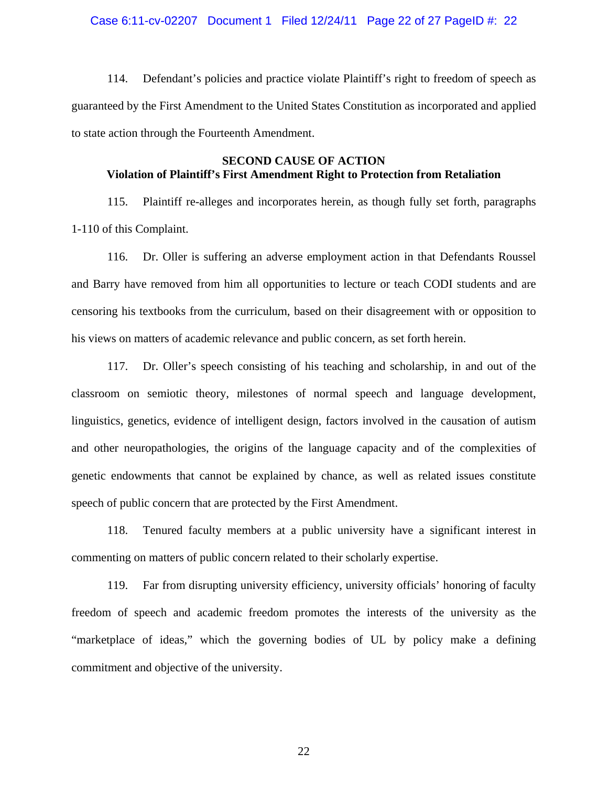### Case 6:11-cv-02207 Document 1 Filed 12/24/11 Page 22 of 27 PageID #: 22

114. Defendant's policies and practice violate Plaintiff's right to freedom of speech as guaranteed by the First Amendment to the United States Constitution as incorporated and applied to state action through the Fourteenth Amendment.

## **SECOND CAUSE OF ACTION Violation of Plaintiff's First Amendment Right to Protection from Retaliation**

115. Plaintiff re-alleges and incorporates herein, as though fully set forth, paragraphs 1-110 of this Complaint.

116. Dr. Oller is suffering an adverse employment action in that Defendants Roussel and Barry have removed from him all opportunities to lecture or teach CODI students and are censoring his textbooks from the curriculum, based on their disagreement with or opposition to his views on matters of academic relevance and public concern, as set forth herein.

117. Dr. Oller's speech consisting of his teaching and scholarship, in and out of the classroom on semiotic theory, milestones of normal speech and language development, linguistics, genetics, evidence of intelligent design, factors involved in the causation of autism and other neuropathologies, the origins of the language capacity and of the complexities of genetic endowments that cannot be explained by chance, as well as related issues constitute speech of public concern that are protected by the First Amendment.

118. Tenured faculty members at a public university have a significant interest in commenting on matters of public concern related to their scholarly expertise.

119. Far from disrupting university efficiency, university officials' honoring of faculty freedom of speech and academic freedom promotes the interests of the university as the "marketplace of ideas," which the governing bodies of UL by policy make a defining commitment and objective of the university.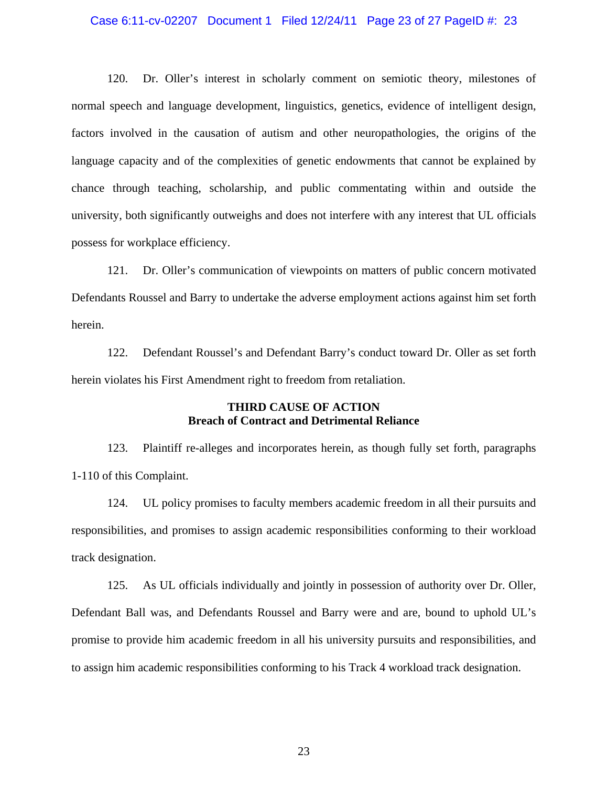### Case 6:11-cv-02207 Document 1 Filed 12/24/11 Page 23 of 27 PageID #: 23

120. Dr. Oller's interest in scholarly comment on semiotic theory, milestones of normal speech and language development, linguistics, genetics, evidence of intelligent design, factors involved in the causation of autism and other neuropathologies, the origins of the language capacity and of the complexities of genetic endowments that cannot be explained by chance through teaching, scholarship, and public commentating within and outside the university, both significantly outweighs and does not interfere with any interest that UL officials possess for workplace efficiency.

121. Dr. Oller's communication of viewpoints on matters of public concern motivated Defendants Roussel and Barry to undertake the adverse employment actions against him set forth herein.

122. Defendant Roussel's and Defendant Barry's conduct toward Dr. Oller as set forth herein violates his First Amendment right to freedom from retaliation.

## **THIRD CAUSE OF ACTION Breach of Contract and Detrimental Reliance**

123. Plaintiff re-alleges and incorporates herein, as though fully set forth, paragraphs 1-110 of this Complaint.

124. UL policy promises to faculty members academic freedom in all their pursuits and responsibilities, and promises to assign academic responsibilities conforming to their workload track designation.

125. As UL officials individually and jointly in possession of authority over Dr. Oller, Defendant Ball was, and Defendants Roussel and Barry were and are, bound to uphold UL's promise to provide him academic freedom in all his university pursuits and responsibilities, and to assign him academic responsibilities conforming to his Track 4 workload track designation.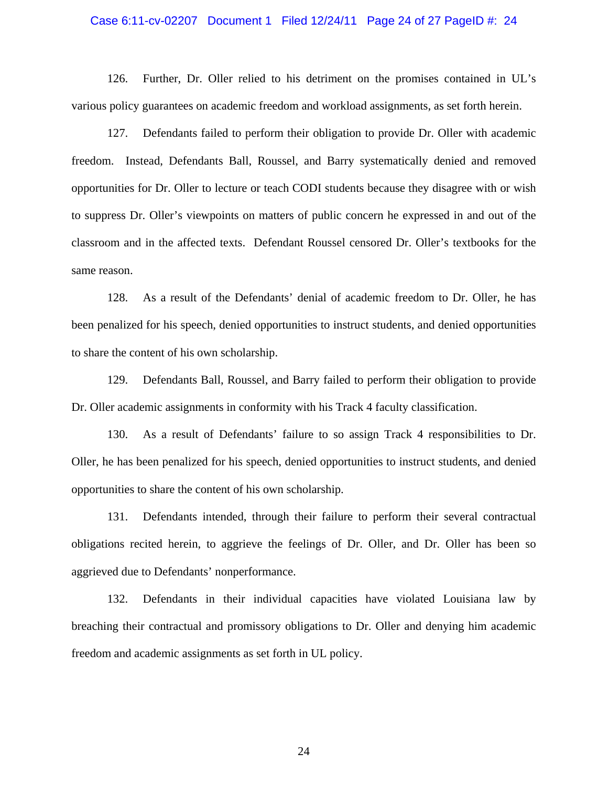### Case 6:11-cv-02207 Document 1 Filed 12/24/11 Page 24 of 27 PageID #: 24

126. Further, Dr. Oller relied to his detriment on the promises contained in UL's various policy guarantees on academic freedom and workload assignments, as set forth herein.

127. Defendants failed to perform their obligation to provide Dr. Oller with academic freedom. Instead, Defendants Ball, Roussel, and Barry systematically denied and removed opportunities for Dr. Oller to lecture or teach CODI students because they disagree with or wish to suppress Dr. Oller's viewpoints on matters of public concern he expressed in and out of the classroom and in the affected texts. Defendant Roussel censored Dr. Oller's textbooks for the same reason.

128. As a result of the Defendants' denial of academic freedom to Dr. Oller, he has been penalized for his speech, denied opportunities to instruct students, and denied opportunities to share the content of his own scholarship.

129. Defendants Ball, Roussel, and Barry failed to perform their obligation to provide Dr. Oller academic assignments in conformity with his Track 4 faculty classification.

130. As a result of Defendants' failure to so assign Track 4 responsibilities to Dr. Oller, he has been penalized for his speech, denied opportunities to instruct students, and denied opportunities to share the content of his own scholarship.

131. Defendants intended, through their failure to perform their several contractual obligations recited herein, to aggrieve the feelings of Dr. Oller, and Dr. Oller has been so aggrieved due to Defendants' nonperformance.

132. Defendants in their individual capacities have violated Louisiana law by breaching their contractual and promissory obligations to Dr. Oller and denying him academic freedom and academic assignments as set forth in UL policy.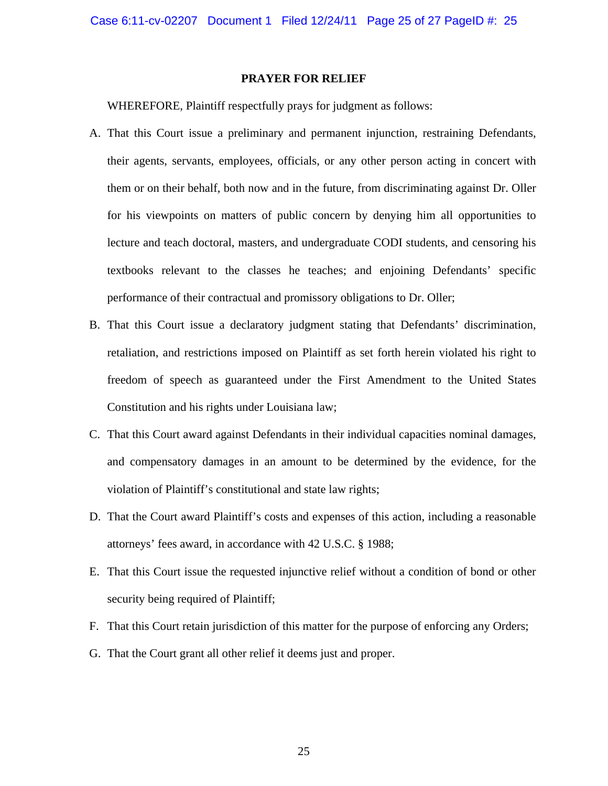#### **PRAYER FOR RELIEF**

WHEREFORE, Plaintiff respectfully prays for judgment as follows:

- A. That this Court issue a preliminary and permanent injunction, restraining Defendants, their agents, servants, employees, officials, or any other person acting in concert with them or on their behalf, both now and in the future, from discriminating against Dr. Oller for his viewpoints on matters of public concern by denying him all opportunities to lecture and teach doctoral, masters, and undergraduate CODI students, and censoring his textbooks relevant to the classes he teaches; and enjoining Defendants' specific performance of their contractual and promissory obligations to Dr. Oller;
- B. That this Court issue a declaratory judgment stating that Defendants' discrimination, retaliation, and restrictions imposed on Plaintiff as set forth herein violated his right to freedom of speech as guaranteed under the First Amendment to the United States Constitution and his rights under Louisiana law;
- C. That this Court award against Defendants in their individual capacities nominal damages, and compensatory damages in an amount to be determined by the evidence, for the violation of Plaintiff's constitutional and state law rights;
- D. That the Court award Plaintiff's costs and expenses of this action, including a reasonable attorneys' fees award, in accordance with 42 U.S.C. § 1988;
- E. That this Court issue the requested injunctive relief without a condition of bond or other security being required of Plaintiff;
- F. That this Court retain jurisdiction of this matter for the purpose of enforcing any Orders;
- G. That the Court grant all other relief it deems just and proper.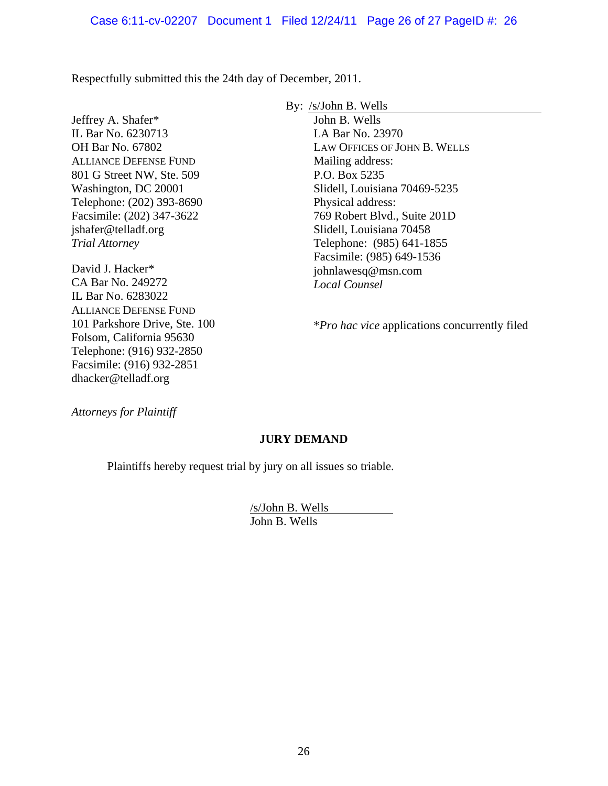Respectfully submitted this the 24th day of December, 2011.

Jeffrey A. Shafer\* IL Bar No. 6230713 OH Bar No. 67802 ALLIANCE DEFENSE FUND 801 G Street NW, Ste. 509 Washington, DC 20001 Telephone: (202) 393-8690 Facsimile: (202) 347-3622 jshafer@telladf.org *Trial Attorney*

David J. Hacker\* CA Bar No. 249272 IL Bar No. 6283022 ALLIANCE DEFENSE FUND 101 Parkshore Drive, Ste. 100 Folsom, California 95630 Telephone: (916) 932-2850 Facsimile: (916) 932-2851 dhacker@telladf.org

By: /s/John B. Wells

John B. Wells LA Bar No. 23970 LAW OFFICES OF JOHN B. WELLS Mailing address: P.O. Box 5235 Slidell, Louisiana 70469-5235 Physical address: 769 Robert Blvd., Suite 201D Slidell, Louisiana 70458 Telephone: (985) 641-1855 Facsimile: (985) 649-1536 johnlawesq@msn.com *Local Counsel* 

\**Pro hac vice* applications concurrently filed

*Attorneys for Plaintiff* 

# **JURY DEMAND**

Plaintiffs hereby request trial by jury on all issues so triable.

/s/John B. Wells John B. Wells